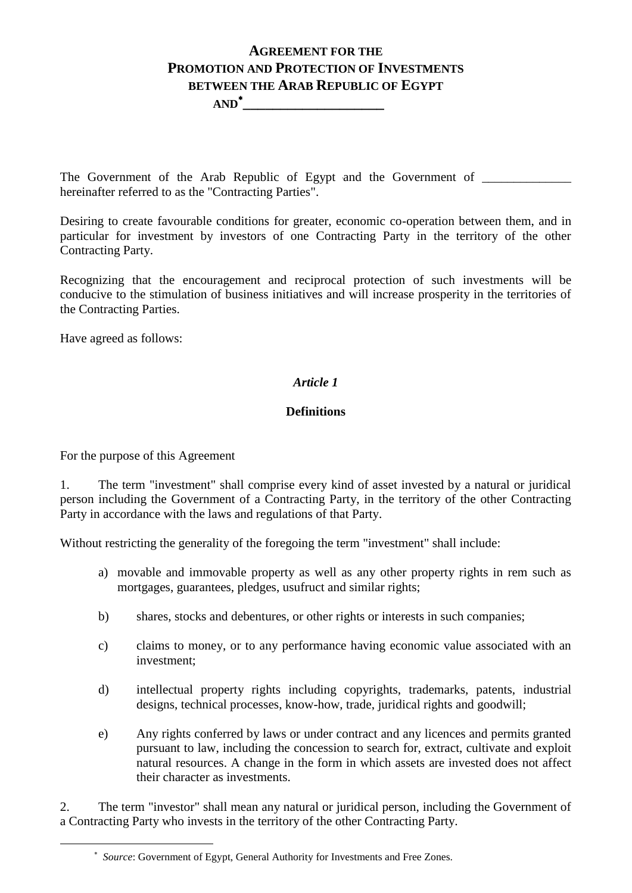# **AGREEMENT FOR THE PROMOTION AND PROTECTION OF INVESTMENTS BETWEEN THE ARAB REPUBLIC OF EGYPT**

**AND \_\_\_\_\_\_\_\_\_\_\_\_\_\_\_\_\_\_\_**

The Government of the Arab Republic of Egypt and the Government of \_\_\_\_\_\_\_\_\_\_\_\_\_ hereinafter referred to as the "Contracting Parties".

Desiring to create favourable conditions for greater, economic co-operation between them, and in particular for investment by investors of one Contracting Party in the territory of the other Contracting Party.

Recognizing that the encouragement and reciprocal protection of such investments will be conducive to the stimulation of business initiatives and will increase prosperity in the territories of the Contracting Parties.

Have agreed as follows:

<u>.</u>

# *Article 1*

### **Definitions**

For the purpose of this Agreement

1. The term "investment" shall comprise every kind of asset invested by a natural or juridical person including the Government of a Contracting Party, in the territory of the other Contracting Party in accordance with the laws and regulations of that Party.

Without restricting the generality of the foregoing the term "investment" shall include:

- a) movable and immovable property as well as any other property rights in rem such as mortgages, guarantees, pledges, usufruct and similar rights;
- b) shares, stocks and debentures, or other rights or interests in such companies;
- c) claims to money, or to any performance having economic value associated with an investment;
- d) intellectual property rights including copyrights, trademarks, patents, industrial designs, technical processes, know-how, trade, juridical rights and goodwill;
- e) Any rights conferred by laws or under contract and any licences and permits granted pursuant to law, including the concession to search for, extract, cultivate and exploit natural resources. A change in the form in which assets are invested does not affect their character as investments.

2. The term "investor" shall mean any natural or juridical person, including the Government of a Contracting Party who invests in the territory of the other Contracting Party.

 *Source*: Government of Egypt, General Authority for Investments and Free Zones.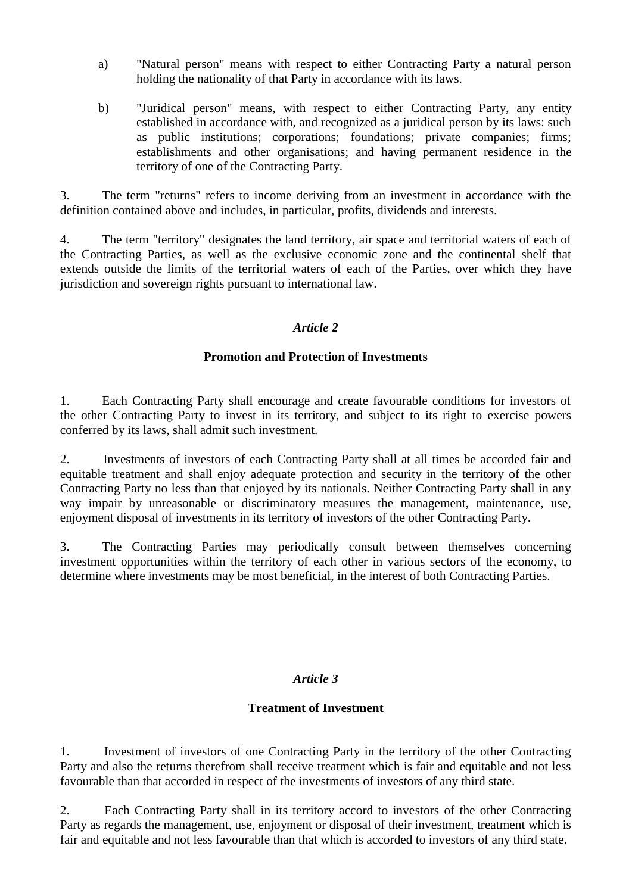- a) "Natural person" means with respect to either Contracting Party a natural person holding the nationality of that Party in accordance with its laws.
- b) "Juridical person" means, with respect to either Contracting Party, any entity established in accordance with, and recognized as a juridical person by its laws: such as public institutions; corporations; foundations; private companies; firms; establishments and other organisations; and having permanent residence in the territory of one of the Contracting Party.

3. The term "returns" refers to income deriving from an investment in accordance with the definition contained above and includes, in particular, profits, dividends and interests.

4. The term "territory" designates the land territory, air space and territorial waters of each of the Contracting Parties, as well as the exclusive economic zone and the continental shelf that extends outside the limits of the territorial waters of each of the Parties, over which they have jurisdiction and sovereign rights pursuant to international law.

# *Article 2*

### **Promotion and Protection of Investments**

1. Each Contracting Party shall encourage and create favourable conditions for investors of the other Contracting Party to invest in its territory, and subject to its right to exercise powers conferred by its laws, shall admit such investment.

2. Investments of investors of each Contracting Party shall at all times be accorded fair and equitable treatment and shall enjoy adequate protection and security in the territory of the other Contracting Party no less than that enjoyed by its nationals. Neither Contracting Party shall in any way impair by unreasonable or discriminatory measures the management, maintenance, use, enjoyment disposal of investments in its territory of investors of the other Contracting Party.

3. The Contracting Parties may periodically consult between themselves concerning investment opportunities within the territory of each other in various sectors of the economy, to determine where investments may be most beneficial, in the interest of both Contracting Parties.

# *Article 3*

### **Treatment of Investment**

1. Investment of investors of one Contracting Party in the territory of the other Contracting Party and also the returns therefrom shall receive treatment which is fair and equitable and not less favourable than that accorded in respect of the investments of investors of any third state.

2. Each Contracting Party shall in its territory accord to investors of the other Contracting Party as regards the management, use, enjoyment or disposal of their investment, treatment which is fair and equitable and not less favourable than that which is accorded to investors of any third state.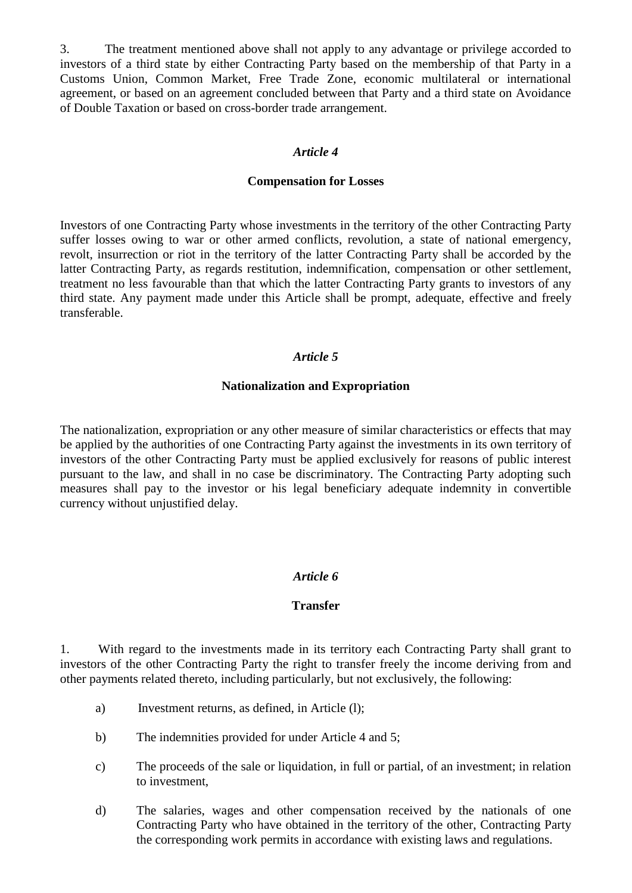3. The treatment mentioned above shall not apply to any advantage or privilege accorded to investors of a third state by either Contracting Party based on the membership of that Party in a Customs Union, Common Market, Free Trade Zone, economic multilateral or international agreement, or based on an agreement concluded between that Party and a third state on Avoidance of Double Taxation or based on cross-border trade arrangement.

### *Article 4*

#### **Compensation for Losses**

Investors of one Contracting Party whose investments in the territory of the other Contracting Party suffer losses owing to war or other armed conflicts, revolution, a state of national emergency, revolt, insurrection or riot in the territory of the latter Contracting Party shall be accorded by the latter Contracting Party, as regards restitution, indemnification, compensation or other settlement, treatment no less favourable than that which the latter Contracting Party grants to investors of any third state. Any payment made under this Article shall be prompt, adequate, effective and freely transferable.

### *Article 5*

### **Nationalization and Expropriation**

The nationalization, expropriation or any other measure of similar characteristics or effects that may be applied by the authorities of one Contracting Party against the investments in its own territory of investors of the other Contracting Party must be applied exclusively for reasons of public interest pursuant to the law, and shall in no case be discriminatory. The Contracting Party adopting such measures shall pay to the investor or his legal beneficiary adequate indemnity in convertible currency without unjustified delay.

### *Article 6*

#### **Transfer**

1. With regard to the investments made in its territory each Contracting Party shall grant to investors of the other Contracting Party the right to transfer freely the income deriving from and other payments related thereto, including particularly, but not exclusively, the following:

- a) Investment returns, as defined, in Article (l);
- b) The indemnities provided for under Article 4 and 5;
- c) The proceeds of the sale or liquidation, in full or partial, of an investment; in relation to investment,
- d) The salaries, wages and other compensation received by the nationals of one Contracting Party who have obtained in the territory of the other, Contracting Party the corresponding work permits in accordance with existing laws and regulations.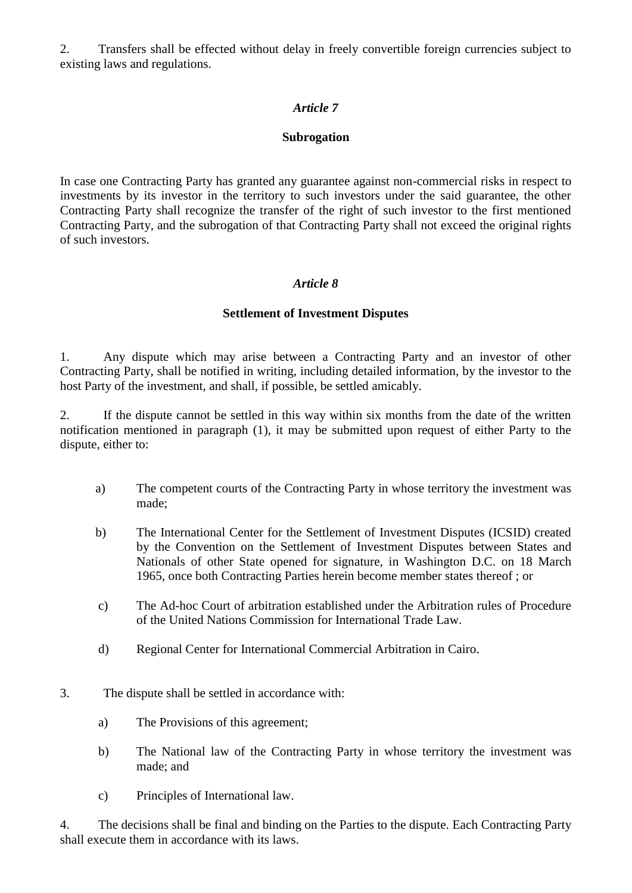2. Transfers shall be effected without delay in freely convertible foreign currencies subject to existing laws and regulations.

# *Article 7*

# **Subrogation**

In case one Contracting Party has granted any guarantee against non-commercial risks in respect to investments by its investor in the territory to such investors under the said guarantee, the other Contracting Party shall recognize the transfer of the right of such investor to the first mentioned Contracting Party, and the subrogation of that Contracting Party shall not exceed the original rights of such investors.

# *Article 8*

# **Settlement of Investment Disputes**

1. Any dispute which may arise between a Contracting Party and an investor of other Contracting Party, shall be notified in writing, including detailed information, by the investor to the host Party of the investment, and shall, if possible, be settled amicably.

2. If the dispute cannot be settled in this way within six months from the date of the written notification mentioned in paragraph (1), it may be submitted upon request of either Party to the dispute, either to:

- a) The competent courts of the Contracting Party in whose territory the investment was made;
- b) The International Center for the Settlement of Investment Disputes (ICSID) created by the Convention on the Settlement of Investment Disputes between States and Nationals of other State opened for signature, in Washington D.C. on 18 March 1965, once both Contracting Parties herein become member states thereof ; or
- c) The Ad-hoc Court of arbitration established under the Arbitration rules of Procedure of the United Nations Commission for International Trade Law.
- d) Regional Center for International Commercial Arbitration in Cairo.
- 3. The dispute shall be settled in accordance with:
	- a) The Provisions of this agreement;
	- b) The National law of the Contracting Party in whose territory the investment was made; and
	- c) Principles of International law.

4. The decisions shall be final and binding on the Parties to the dispute. Each Contracting Party shall execute them in accordance with its laws.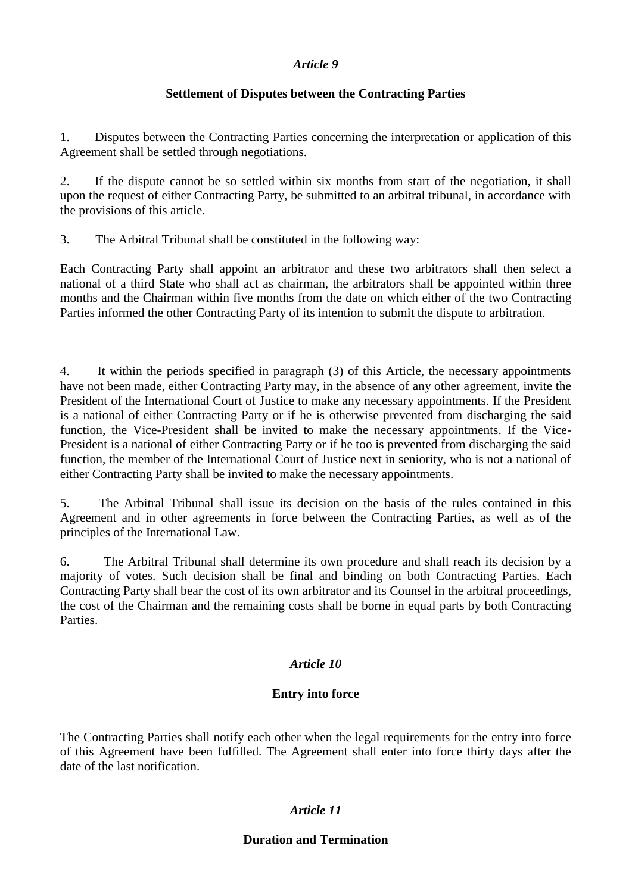### *Article 9*

# **Settlement of Disputes between the Contracting Parties**

1. Disputes between the Contracting Parties concerning the interpretation or application of this Agreement shall be settled through negotiations.

2. If the dispute cannot be so settled within six months from start of the negotiation, it shall upon the request of either Contracting Party, be submitted to an arbitral tribunal, in accordance with the provisions of this article.

3. The Arbitral Tribunal shall be constituted in the following way:

Each Contracting Party shall appoint an arbitrator and these two arbitrators shall then select a national of a third State who shall act as chairman, the arbitrators shall be appointed within three months and the Chairman within five months from the date on which either of the two Contracting Parties informed the other Contracting Party of its intention to submit the dispute to arbitration.

4. It within the periods specified in paragraph (3) of this Article, the necessary appointments have not been made, either Contracting Party may, in the absence of any other agreement, invite the President of the International Court of Justice to make any necessary appointments. If the President is a national of either Contracting Party or if he is otherwise prevented from discharging the said function, the Vice-President shall be invited to make the necessary appointments. If the Vice-President is a national of either Contracting Party or if he too is prevented from discharging the said function, the member of the International Court of Justice next in seniority, who is not a national of either Contracting Party shall be invited to make the necessary appointments.

5. The Arbitral Tribunal shall issue its decision on the basis of the rules contained in this Agreement and in other agreements in force between the Contracting Parties, as well as of the principles of the International Law.

6. The Arbitral Tribunal shall determine its own procedure and shall reach its decision by a majority of votes. Such decision shall be final and binding on both Contracting Parties. Each Contracting Party shall bear the cost of its own arbitrator and its Counsel in the arbitral proceedings, the cost of the Chairman and the remaining costs shall be borne in equal parts by both Contracting Parties.

# *Article 10*

# **Entry into force**

The Contracting Parties shall notify each other when the legal requirements for the entry into force of this Agreement have been fulfilled. The Agreement shall enter into force thirty days after the date of the last notification.

# *Article 11*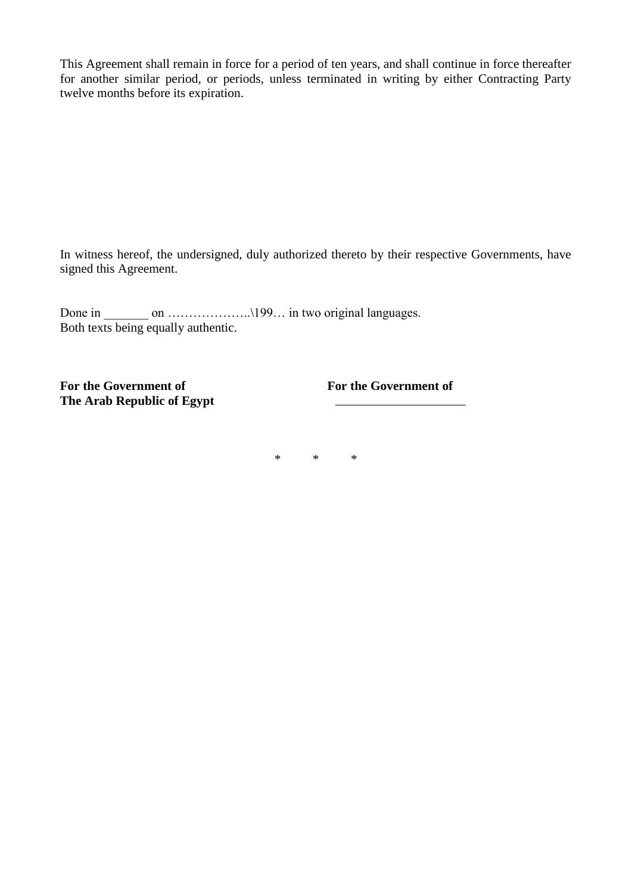This Agreement shall remain in force for a period of ten years, and shall continue in force thereafter for another similar period, or periods, unless terminated in writing by either Contracting Party twelve months before its expiration.

In witness hereof, the undersigned, duly authorized thereto by their respective Governments, have signed this Agreement.

Done in \_\_\_\_\_\_\_\_ on …………………….\199… in two original languages. Both texts being equally authentic.

**For the Government of For the Government of The Arab Republic of Egypt**

\* \* \*